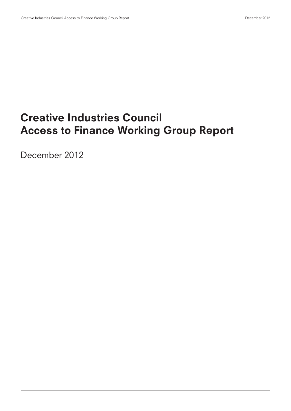# Creative Industries Council Access to Finance Working Group Report

December 2012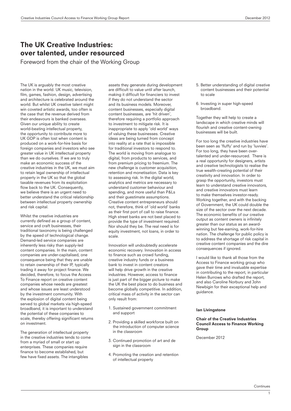# The UK Creative Industries: over talented, under resourced

Foreword from the chair of the Working Group

The UK is arguably the most creative nation in the world. UK music, television, film, games, fashion, design, advertising and architecture is celebrated around the world. But whilst UK creative talent might win coveted artistic awards, too often is the case that the revenue derived from their endeavours is banked overseas. Given our unique ability to create world-beating intellectual property, the opportunity to contribute more to UK GDP is often lost when content is produced on a work-for-hire basis for foreign companies and investors who see greater value in UK intellectual property than we do ourselves. If we are to truly make an economic success of the creative industries in the UK, we must aim to retain legal ownership of intellectual property in the UK so that the global taxable revenues from its exploitation flow back to the UK. Consequently, we believe there is an urgent need to better understand the critical relationship between intellectual property ownership and risk capital.

Whilst the creative industries are currently defined as a group of content. service and craft businesses, their traditional taxonomy is being challenged by the speed of technological change. Demand-led service companies are inherently less risky than supply-led content companies. In the main, content companies are under-capitalised, one consequence being that they are unable to retain ownership of their IP, typically trading it away for project finance. We decided, therefore, to focus the Access To Finance report on creative content companies whose needs are greatest and whose issues are least understood by the investment community. With the explosion of digital content being served to global markets via high-speed broadband, it is important to understand the potential of these companies to scale, thereby offering significant returns on investment.

The generation of intellectual property in the creative industries tends to come from a myriad of small or start up enterprises. These companies require finance to become established, but few have fixed assets. The intangibles

assets they generate during development are difficult to value until after launch, making it difficult for financiers to invest if they do not understand the sector and its business models. Moreover, content businesses, especially digital content businesses, are 'hit driven', therefore requiring a portfolio approach to investment to mitigate risk. It is inappropriate to apply 'old world' ways of valuing these businesses. Creative ideas are being turned from concept into reality at a rate that is impossible for traditional investors to respond to. The world is moving from analogue to digital, from products to services, and from premium pricing to freemium. The new challenge is customer acquisition, retention and monetisation. Data is key to assessing risk. In the digital world, analytics and metrics are necessary to understand customer behaviour and spending, and more useful than P&Ls and their guestimate assumptions. Creative content entrepreneurs should not, therefore, think of 'old world' banks as their first port of call to raise finance. High street banks are not best placed to provide the type of investment required. Nor should they be. The real need is for equity investment, not loans, in order to scale.

Innovation will undoubtedly accelerate economic recovery. Innovation in access to finance such as crowd funding, creative industry funds or a business bank to invest in content creators will help drive growth in the creative industries. However, access to finance is just part of the bigger picture to make the UK the best place to do business and become globally competitive. In addition, critical mass of activity in the sector can only result from:

- 1. Sustained government commitment and support
- 2. Providing a skilled workforce built on the introduction of computer science in the classroom
- 3. Continued promotion of art and de sign in the classroom
- 4. Promoting the creation and retention of intellectual property
- 5. Better understanding of digital creative content businesses and their potential to scale
- 6. Investing in super high-speed broadband.

Together they will help to create a landscape in which creative minds will flourish and creative content-owning businesses will be built.

For too long the creative industries have been seen as 'fluffy' and run by 'luvvies'. For too long, they have been overtalented and under-resourced. There is a real opportunity for designers, artists and creative technologists to realise the true wealth-creating potential of their creativity and innovation. In order to grasp the opportunity, investors must learn to understand creative innovators, and creative innovators must learn to make themselves investor-ready. Working together, and with the backing of Government, the UK could double the size of the sector over the next decade. The economic benefits of our creative output as content owners is infinitely greater than our status as an awardwinning but fee-earning, work-for-hire nation. The challenge for public policy is to address the shortage of risk capital in creative content companies and the dire consequences if ignored.

I would like to thank all those from the Access to Finance working group who gave their time and invaluable expertise in contributing to the report, in particular Helen Burrows who drafted the report, and also Caroline Norbury and John Newbigin for their exceptional help and guidance.

### Ian Livingstone

### Chair of the Creative Industries Council Access to Finance Working Group

December 2012

1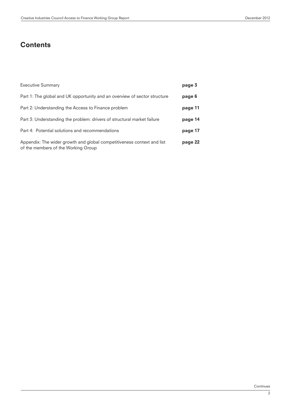# **Contents**

| <b>Executive Summary</b>                                                                                      | page 3  |
|---------------------------------------------------------------------------------------------------------------|---------|
| Part 1: The global and UK opportunity and an overview of sector structure                                     | page 6  |
| Part 2: Understanding the Access to Finance problem                                                           | page 11 |
| Part 3: Understanding the problem: drivers of structural market failure                                       | page 14 |
| Part 4: Potential solutions and recommendations                                                               | page 17 |
| Appendix: The wider growth and global competitiveness context and list<br>of the members of the Working Group | page 22 |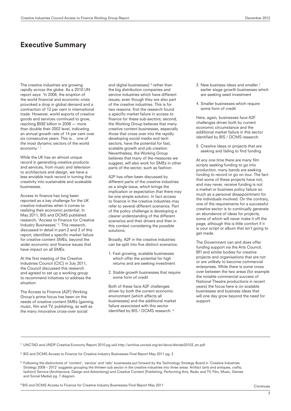### Executive Summary

The creative industries are growing rapidly across the globe. As a 2010 UN report says: 'In 2008, the eruption of the world financial and economic crisis provoked a drop in global demand and a contraction of 12 per cent in international trade. However, world exports of creative goods and services continued to grow, reaching \$592 billion in 2008 — more than double their 2002 level, indicating an annual growth rate of 14 per cent over six consecutive years. This is… one of the most dynamic sectors of the world economy.' 1

While the UK has an almost unique record in generating creative products and services, from music and television to architecture and design, we have a less enviable track record in turning that creativity into sustainable and scaleable businesses.

Access to finance has long been reported as a key challenge for the UK creative industries when it comes to realizing their economic potential. In May 2011, BIS and DCMS published research, 'Access to Finance for Creative Industry Businesses' 2. This research, discussed in detail in part 2 and 3 of this report, identified a specific market failure for creative content SMEs, beyond the wider economic and finance issues that have impact on all SMEs.

At the first meeting of the Creative Industries Council (CIC) in July 2011, the Council discussed this research and agreed to set up a working group to recommend initiatives to address the situation.

The Access to Finance (A2F) Working Group's prime focus has been on the needs of creative content SMEs (gaming, music, film and TV, publishing, as well as the many innovative cross-over social

and digital businesses)  $3$  rather than the big distribution companies and service industries which have different issues, even though they are also part of the creative industries. This is for two reasons: first the research found a specific market failure in access to finance for these sub-sectors; second, the Working Group believes that many creative content businesses, especially those that cross over into the rapidly developing social media and tech sectors, have the potential for fast, scalable growth and job creation. Nevertheless, the Working Group believes that many of the measures we suggest, will also work for SMEs in other parts of the sector, such as fashion.

A2F has often been discussed by different parts of the creative industries as a single issue, which brings the implication or expectation that there may be one simple solution. In fact access to finance in the creative industries may refer to several different scenarios. Part of the policy challenge is developing a clearer understanding of the different scenarios and their drivers and then in this context considering the possible solutions.

Broadly, A2F in the creative industries can be split into five distinct scenarios:

- 1. Fast growing, scalable businesses which offer the potential for high returns and are seeking investment
- 2. Stable growth businesses that require some form of credit

Both of these face A2F challenges driven by both the current economic environment (which affects all businesses) and the additional market failure associated with this sector identified by BIS / DCMS research. 4

- 3. New business ideas and smaller / earlier stage growth businesses which are seeking seed investment
- 4. Smaller businesses which require some form of credit

Here, again, businesses face A2F challenges driven both by current economic circumstance and the additional market failure in this sector identified by BIS / DCMS research.

5. Creative ideas or projects that are seeking and failing to find funding

At any one time there are many film scripts seeking funding to go into production, many bands are seeking funding to record or go on tour. The fact that some of these projects have not, and may never, receive funding is not a market or business policy failure so much as a personal disappointment for the individuals involved. On the contrary, one of the requirements for a successful creative sector is to continually generate an abundance of ideas for projects, some of which will never make it off the page, although this is little comfort if it is your script or album that isn't going to get made.

The Government can and does offer funding support via the Arts Council, BFI and similar bodies for creative projects and organisations that are not or are unlikely to become commercial enterprises. While there is some cross over between the two areas (for example the notable commercial success of National Theatre productions in recent years) the focus here is on scalable businesses and business ideas that will one day grow beyond the need for support.

<sup>1</sup> UNCTAD and UNDP Creative Economy Report 2010 pg xxiii http://archive.unctad.org/en/docs/ditctab20103\_en.pdf

<sup>2</sup> BIS and DCMS Access to Finance for Creative Industry Businesses Final Report May 2011 pg. 2

<sup>3</sup> Following the distinctions of 'content', 'service' and 'relic' businesses put forward by the Technology Strategy Board in 'Creative Industries Strategy 2009 – 2012' suggests grouping the thirteen sub sector in the creative industries into three areas: Artifact (arts and antiques, crafts, fashion) Service (Architecture, Design and Advertising) and Creative Content (Publishing, Performing Arts, Radio and TV, Film, Music, Games and Social Media) pg. 7 diagram.

4 BIS and DCMS Access to Finance for Creative Industry Businesses Final Report May 2011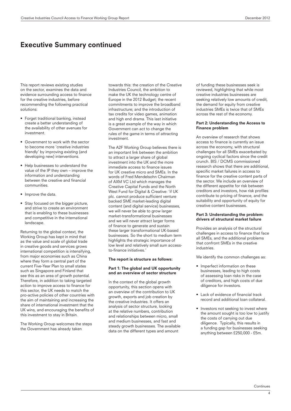# Executive Summary continued

This report reviews existing studies on the sector, examines the data and evidence surrounding access to finance for the creative industries, before recommending the following practical solutions:

- Forget traditional banking, instead create a better understanding of the availability of other avenues for investment.
- Government to work with the sector to become more 'creative industries friendly' by improving existing (and developing new) interventions.
- Help businesses to understand the value of the IP they own – improve the information and understanding between the creative and financial communities.
- Improve the data.
- Stay focused on the bigger picture, and strive to create an environment that is enabling to these businesses and competitive in the international landscape.

Returning to the global context, the Working Group has kept in mind that as the value and scale of global trade in creative goods and services grows international competition is intensifying, from major economies such as China where they form a central part of the current Five-Year Plan to small states such as Singapore and Finland that see this as an area of growth potential. Therefore, in addition to taking targeted action to improve access to finance for this sector, the UK needs to match the pro-active policies of other countries with the aim of maintaining and increasing the share of international investment that the UK wins, and encouraging the benefits of this investment to stay in Britain.

The Working Group welcomes the steps the Government has already taken

towards this: the creation of the Creative Industries Council, the ambition to make the UK the technology centre of Europe in the 2012 Budget; the recent commitments to improve the broadband infrastructure; and the introduction of tax credits for video games, animation and high end drama. This last initiative is a great example of the way in which Government can act to change the rules of the game in terms of attracting investment.

The A2F Working Group believes there is an important link between the ambition to attract a larger share of global investment into the UK and the more immediate access to finance issues for UK creative micro and SMEs. In the words of Fred Mendelsohn Chairman of AXM VC Ltd which manages the Creative Capital Funds and the North West Fund for Digital & Creative: 'if UK plc. cannot produce sufficient venture backed SME market-leading digital content (and digital service) businesses, we will never be able to grow larger market-transformational businesses and we will never attract larger forms of finance to generate and sustain these larger transformational UK-based businesses. So the short to medium term highlights the strategic importance of low level and relatively small sum accessto-finance initiatives.'

### The report is structure as follows:

### Part 1: The global and UK opportunity and an overview of sector structure

In the context of the global growth opportunity, this section opens with an overview of the contribution to UK growth, exports and job creation by the creative industries. It offers an analysis of sector structure, looking at the relative numbers, contribution and relationships between micro, small and medium businesses, and fast and steady growth businesses. The available data on the different types and amount

of funding these businesses seek is reviewed, highlighting that while most creative industries businesses are seeking relatively low amounts of credit, the demand for equity from creative industries SMEs is twice that of SMEs across the rest of the economy.

### Part 2: Understanding the Access to Finance problem

An overview of research that shows access to finance is currently an issue across the economy, with structural challenges for all SMEs exacerbated by ongoing cyclical factors since the credit crunch. BIS / DCMS commissioned research shows that there are additional, specific market failures in access to finance for the creative content parts of the sector. We include an overview of the different appetite for risk between creditors and investors, how risk profiles contribute to pricing of finance, and the suitability and opportunity of equity for creative content businesses.

### Part 3: Understanding the problem: drivers of structural market failure

Provides an analysis of the structural challenges in access to finance that face all SMEs, and the additional problems that confront SMEs in the creative industries.

We identify the common challenges as:

- Imperfect information on these businesses, leading to high costs of assessing loan risks in the case of creditors, and high costs of due diligence for investors.
- Lack of evidence of financial track record and additional loan collateral.
- Investors not seeking to invest where the amount sought is too low to justify the costs of carrying out due diligence. Typically, this results in a funding gap for businesses seeking anything between £250,000 - £5m.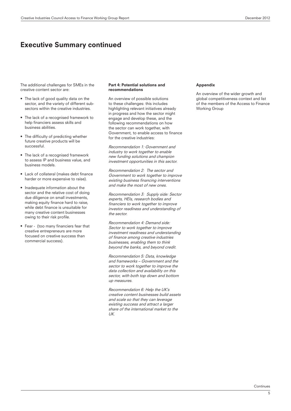### Executive Summary continued

The additional challenges for SMEs in the creative content sector are:

- The lack of good quality data on the sector, and the variety of different subsectors within the creative industries.
- The lack of a recognised framework to help financiers assess skills and business abilities.
- The difficulty of predicting whether future creative products will be successful.
- The lack of a recognised framework to assess IP and business value, and business models.
- Lack of collateral (makes debt finance harder or more expensive to raise).
- Inadequate information about the sector and the relative cost of doing due diligence on small investments, making equity finance hard to raise, while debt finance is unsuitable for many creative content businesses owing to their risk profile.
- Fear (too many financiers fear that creative entrepreneurs are more focused on creative success than commercial success).

### Part 4: Potential solutions and recommendations

An overview of possible solutions to these challenges: this includes highlighting relevant initiatives already in progress and how the sector might engage and develop these, and the following recommendations on how the sector can work together, with Government, to enable access to finance for the creative industries:

Recommendation 1: Government and industry to work together to enable new funding solutions and champion investment opportunities in this sector.

Recommendation 2: The sector and Government to work together to improve existing business financing interventions and make the most of new ones.

Recommendation 3: Supply side: Sector experts, HEIs, research bodies and financiers to work together to improve investor readiness and understanding of the sector.

Recommendation 4: Demand side: Sector to work together to improve investment readiness and understanding of finance among creative industries businesses, enabling them to think beyond the banks, and beyond credit.

Recommendation 5: Data, knowledge and frameworks – Government and the sector to work together to improve the data collection and availability on this sector, with both top down and bottom up measures.

Recommendation 6: Help the UK's creative content businesses build assets and scale so that they can leverage existing success and attract a larger share of the international market to the  $I$ 

### Appendix

An overview of the wider growth and global competitiveness context and list of the members of the Access to Finance Working Group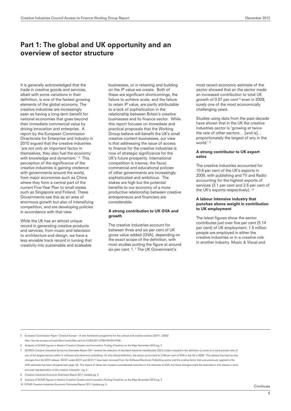It is generally acknowledged that the trade in creative goods and services, albeit with some variations in their definition, is one of the fastest growing elements of the global economy. The creative industries are increasingly seen as having a long-term benefit for national economies that goes beyond their immediate commercial value by driving innovation and enterprise. A report by the European Commission Directorate for Enterprise and Industry in 2010 argued that the creative industries 'are not only an important factor in themselves, they also fuel the economy with knowledge and dynamism.' 5 This perception of the significance of the creative industries is gaining credence with governments around the world, from major economies such as China where they form a central part of the current Five-Year Plan to small states such as Singapore and Finland. These Governments see this as an area of enormous growth but also of intensifying competition, and are developing policies in accordance with that view.

While the UK has an almost unique record in generating creative products and services, from music and television to architecture and design, we have a less enviable track record in turning that creativity into sustainable and scaleable businesses, or in retaining and building on the IP value we create. Both of these are significant shortcomings, the failure to achieve scale, and the failure to retain IP value, are partly attributable to a lack of sophistication in the relationship between Britain's creative businesses and its finance sector. While this report focuses on immediate and practical proposals that the Working Group believe will benefit the UK's small creative content businesses, our view is that addressing the issue of access to finance for the creative industries is now of strategic significance for the UK's future prosperity. International competition is intense; the fiscal, commercial and educational policies of other governments are increasingly sophisticated and ambitious. The stakes are high but the potential benefits to our economy of a more productive relationship between creative entrepreneurs and financiers are considerable.

### A strong contribution to UK GVA and growth

The creative industries account for between three and six per cent of UK gross value added (GVA), depending on the exact scope of the definition, with most studies putting the figure at around six per cent. <sup>6</sup>, <sup>7</sup> The UK Government's

most recent economic estimate of the sector showed that an the sector made an increased contribution to total UK growth of 0.07 per cent <sup>8</sup> even in 2009, surely one of the most economically challenging years.

Studies using data from the past decade have shown that in the UK the creative industries sector is 'growing at twice the rate of other sectors… [and is]… proportionately the largest of any in the world.' 9

### A strong contributor to UK export sales

The creative industries accounted for 10.6 per cent of the UK's exports in 2009, with publishing and TV and Radio accounting for the highest exports of services (3.1 per cent and 2.6 per cent of the UK's exports respectively). 10

### A labour intensive industry that punches above weight in contribution to UK employment

The latest figures show the sector contributes just over five per cent (5.14 per cent) of UK employment. 1.5 million people are employed in either the creative industries or in a creative role in another industry. Music & Visual and

5 European Commission Paper 'Creative Europe – A new framework programme for the cultural and creative sectors (2014 – 2020)'

- http://eur-lex.europa.eu/LexUriServ/LexUriServ.do?uri=COM:2011:0786:FIN:EN:HTML
- 6 Analysis of DCMS figures in Nesta's Creative Clusters and Innovation: Putting Creativity on the Map November 2010 pg. 3
- 7 DCMS's Creative Industries Economic Estimates Report 2011 revised the selection of standard industrial classification (SIC) codes included in the definition to come to a more precise view of one of the largest sectors within it: software and electronic publishing. On this refined definition, the sector accounted for 2.89 per cent of GVA in the UK in 2009: 'This release has had two key changes from the 2010 release. SIC07 codes 62.01 and 62.01/1 have been removed from the Software/Electronic Publishing sector and the scaling factor that was previously applied to the GVA estimates has been dropped (see page 10). The impact of these has caused a considerable reduction in the estimate of GVA, but these changes make the estimates in this release a more accurate representation of the creative industries.' pg. 2
- 8 Creative Industries Economic Estimates Report 2011 Update pg. 5
- 9 Analysis of DCMS figures in Nesta's Creative Clusters and Innovation: Putting Creativity on the Map November 2010 pg. 3
- 10 DCMS Creative Industries Economic Estimates Report 2011 Update pg. 5

**Continues**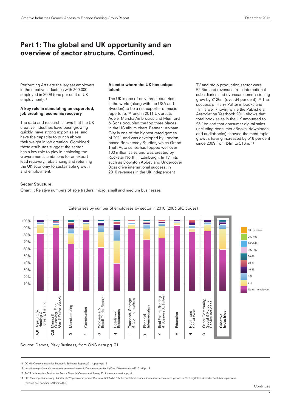Performing Arts are the largest employers in the creative industries with 300,000 employed in 2009 (one per cent of UK employment).<sup>11</sup>

### A key role in stimulating an export-led, job creating, economic recovery

The data and research shows that the UK creative industries have been growing quickly, have strong export sales, and have the capacity to punch above their weight in job creation. Combined these attributes suggest the sector has a key role to play in achieving the Government's ambitions for an export lead recovery, rebalancing and returning the UK economy to sustainable growth and employment.

### A sector where the UK has unique talent:

The UK is one of only three countries in the world (along with the USA and Sweden) to be a net exporter of music repertoire, 12 and in 2011 UK artists Adele, Marsha Ambrosius and Mumford & Sons occupied the top three places in the US album chart. Batman: Arkham City is one of the highest rated games of 2011 and was developed by London based Rocksteady Studios, which Grand Theft Auto series has topped well over 100 million sales and was created by Rockstar North in Edinburgh. In TV, hits such as Downton Abbey and Undercover Boss drive international success: in 2010 revenues in the UK independent

TV and radio production sector were £2.3bn and revenues from international subsidiaries and overseas commissioning grew by £126m (over 34 per cent). 13 The success of Harry Potter in books and film is well known, while the Publishers Association Yearbook 2011 shows that total book sales in the UK amounted to £3.1bn and that consumer digital sales (including consumer eBooks, downloads and audiobooks) showed the most rapid growth, having increased by 318 per cent since 2009 from £4m to £16m.<sup>14</sup>

### Sector Structure

Chart 1: Relative numbers of sole traders, micro, small and medium businesses



Enterprises by number of employees by sector in 2010 (2003 SIC codes)

Source: Demos, Risky Business, from ONS data pg. 31

11 DCMS Creative Industries Economic Estimates Report 2011 Update pg. 5

12 http://www.prsformusic.com/creators/news/research/Documents/AddingUpTheUKMusicIndustry2010.pdf pg. 5

13 PACT Independent Production Sector Financial Census and Survey 2011 summary version pg. 6

14 http://www.publishers.org.uk/index.php?option=com\_content&view=article&id=1755:the-publishers-association-reveals-accelerated-growth-in-2010-digital-book-market&catid=503:pa-press releases-and-comments&Itemid=1618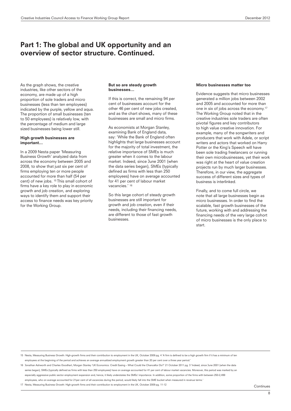As the graph shows, the creative industries, like other sectors of the economy, are made up of a high proportion of sole traders and micro businesses (less than ten employees) indicated by the purple, yellow and aqua. The proportion of small businesses (ten to 50 employees) is relatively low, with the percentage of medium and large sized businesses being lower still.

### High growth businesses are important…

In a 2009 Nesta paper 'Measuring Business Growth' analyzed data from across the economy between 2005 and 2008, to show that just six per cent of firms employing ten or more people accounted for more than half (54 per cent) of new jobs. 15 This small cohort of firms have a key role to play in economic growth and job creation, and exploring ways to identify them and support their access to finance needs was key priority for the Working Group.

### But so are steady growth businesses…

If this is correct, the remaining 94 per cent of businesses account for the other 46 per cent of new jobs created, and as the chart shows, many of these businesses are small and micro firms.

As economists at Morgan Stanley, examining Bank of England data, say: 'While the Bank of England often highlights that large businesses account for the majority of total investment, the relative importance of SMEs is much greater when it comes to the labour market. Indeed, since June 2001 (when the data series began), SMEs (typically defined as firms with less than 250 employees) have on average accounted for 41 per cent of labour market vacancies.' 16

So this large cohort of steady growth businesses are still important for growth and job creation, even if their needs, including their financing needs, are different to those of fast growth businesses.

#### Micro businesses matter too

Evidence suggests that micro businesses generated a million jobs between 2002 and 2005 and accounted for more than one in six of jobs across the economy.17 The Working Group noted that in the creative industries sole traders are often pivotal figures and key contributors to high value creative innovation. For example, many of the songwriters and producers that work with Adele, or script writers and actors that worked on Harry Potter or the King's Speech will have been sole trading freelancers or running their own microbusinesses, yet their work was right at the heart of value creation projects run by much larger businesses. Therefore, in our view, the aggregate success of different sizes and types of business is interlinked.

Finally, and to come full circle, we note that all large businesses begin as micro businesses. In order to find the scalable, fast growth businesses of the future, working with and addressing the financing needs of the very large cohort of micro businesses is the only place to start.

15 Nesta, Measuring Business Growth: High-growth firms and their contribution to employment in the UK, October 2009 pg. 4 'A firm is defined to be a high growth firm if it has a minimum of ten employees at the beginning of the period and achieves an average annualized employment growth greater than 20 per cent over a three year period.'

16 Jonathan Ashworth and Charles Goodhart, Morgan Stanley 'UK Economics: Credit Easing – What Could the Chancellor Do?' 21 October 2011 pg. 3 'Indeed, since June 2001 (when the data series began), SMEs (typically defined as firms with less than 250 employees) have on average accounted for 41 per cent of labour market vacancies. Moreover, this period was marked by an especially aggressive public sector employment expansion and, hence, it likely understates the SMEs' importance. In addition, some proportion of the firms with between 250-2,499

employees, who on average accounted for 21per cent of all vacancies during the period, would likely fall into the SME bucket when measured in revenue terms.'

17 Nesta, Measuring Business Growth: High-growth firms and their contribution to employment in the UK, October 2009 pg. 11-12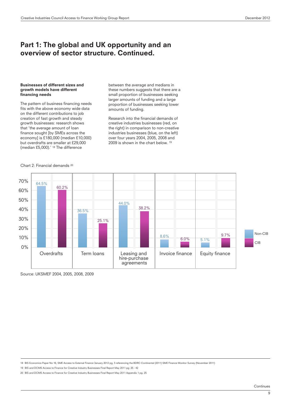### Businesses of different sizes and growth models have different financing needs

The pattern of business financing needs fits with the above economy wide data on the different contributions to job creation of fast growth and steady growth businesses: research shows that 'the average amount of loan finance sought [by SMEs across the economy] is £180,000 (median £10,000) but overdrafts are smaller at £29,000 (median £5,000).' 18 The difference

between the average and medians in these numbers suggests that there are a small proportion of businesses seeking larger amounts of funding and a large proportion of businesses seeking lower amounts of funding.

Research into the financial demands of creative industries businesses (red, on the right) in comparison to non-creative industries businesses (blue, on the left) over four years 2004, 2005, 2008 and 2009 is shown in the chart below. 19



Chart 2: Financial demands 20

Source: UKSMEF 2004, 2005, 2008, 2009

18 BIS Economics Paper No 16, SME Access to External Finance January 2012 pg. 3 referencing the BDRC Continental (2011) SME Finance Monitor Survey (November 2011)

19 BIS and DCMS Access to Finance for Creative Industry Businesses Final Report May 2011 pg. 25 - 42

20 BIS and DCMS Access to Finance for Creative Industry Businesses Final Report May 2011 Appendix 1 pg. 25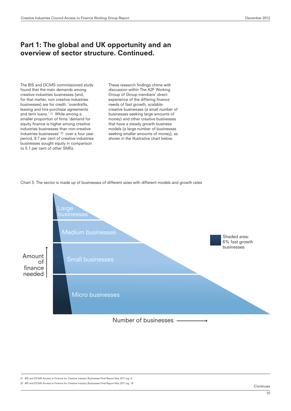The BIS and DCMS commissioned study found that the main demands among creative industries businesses (and, for that matter, non creative industries businesses) are for credit: 'overdrafts, leasing and hire purchase agreements and term loans.' 21 While among a smaller proportion of firms 'demand for equity finance is higher among creative industries businesses than non-creative industries businesses' 22 over a four year period, 9.7 per cent of creative industries businesses sought equity in comparison to 5.1 per cent of other SMEs.

These research findings chime with discussion within The A2F Working Group of Group members' direct experience of the differing finance needs of fast growth, scalable creative businesses (a small number of businesses seeking large amounts of money) and other creative businesses that have a steady growth business models (a large number of businesses seeking smaller amounts of money), as shown in the illustrative chart below.

Chart 3: The sector is made up of businesses of different sizes with different models and growth rates



21 BIS and DCMS Access to Finance for Creative Industry Businesses Final Report May 2011 pg. 9.

22 BIS and DCMS Access to Finance for Creative Industry Businesses Final Report May 2011 pg. 18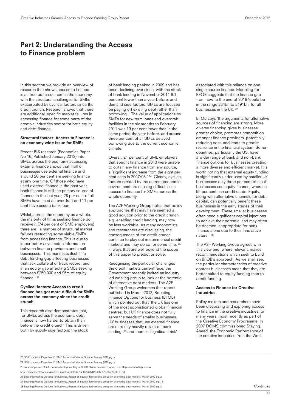# Part 2: Understanding the Access to Finance problem

In this section we provide an overview of research that shows access to finance is a structural issue across the economy, with the structural challenges for SMEs exacerbated by cyclical factors since the credit crunch. Research shows that there are additional, specific market failures in accessing finance for some parts of the creative industries sector for both equity and debt finance.

### Structural factors: Access to Finance is an economy wide issue for SMEs

Recent BIS research (Economics Paper No 16, Published January 2012) into SMEs across the economy accessing external finance shows that: half of businesses use external finance and around 20 per cent are seeking finance at any one time. Of those who have used external finance in the past year, bank finance is still the primary source of finance. In the last year, 28 per cent of all SMEs have used an overdraft and 11 per cent have used a bank loan.

Whilst, across the economy as a whole, the majority of firms seeking finance do receive it (74 per cent of SME employers) there are: 'a number of structural market failures restricting some viable SMEs from accessing finance. This is due to imperfect or asymmetric information between finance providers and small businesses. This manifests itself in a debt funding gap affecting businesses that lack collateral or track record; and in an equity gap affecting SMEs seeking between £250,000 and £5m of equity finance.' 23

### Cyclical factors: Access to credit finance has got more difficult for SMEs across the economy since the credit crunch

This research also demonstrates that, for SMEs across the economy, debt finance is now harder to obtain than before the credit crunch. This is driven both by supply side factors: the stock

of bank lending peaked in 2009 and has been declining ever since, with the stock of bank lending in November 2011 6.1 per cent lower than a year before; and demand side factors: SMEs are focused on paying off existing debt rather than borrowing . The value of applications by SMEs for new term loans and overdraft facilities in the six months to February 2011 was 19 per cent lower than in the same period the year before, and around three per cent of all SMEs delayed borrowing due to the current economic climate.

Overall, 21 per cent of SME employers that sought finance in 2010 were unable to obtain any finance from any source, a 'significant increase from the eight per cent seen in 2007/08.' 24 Clearly, cyclical factors created by the current economic environment are causing difficulties in access to finance for SMEs across the whole economy.

The A2F Working Group notes that policy approaches that may have seemed a good solution prior to the credit crunch, e.g. enabling credit lending, may now be less workable. As many economists and researchers are discussing, the consequences of the credit crunch continue to play out in commercial credit markets and may do so for some time, 25 in ways that are well beyond the scope of this paper to predict or solve.

Recognising the particular challenges the credit markets current face, the Government recently invited an industry led working group to look at the potential of alternative debt markets. The A2F Working Group welcomes that report published in March 2012, Boosting Finance Options for Business (BFOB) which pointed out that 'the UK has one of the most sophisticated global financial centres, but UK finance does not fully serve the needs of smaller businesses. UK businesses that use external finance are currently heavily reliant on bank lending' 26 and there is 'significant risk'

associated with this reliance on one single source finance. Modeling for BFOB suggests that the finance gap from now to the end of 2016 'could be in the range £84bn to £191bn' for all businesses in the UK. 27

BFOB says 'the arguments for alternative sources of financing are strong. More diverse financing gives businesses greater choice, promotes competition amongst finance providers, potentially reducing cost, and leads to greater resilience in the financial system. Some countries, particularly the US, have a wider range of bank and non-bank finance options for businesses creating a more diverse and efficient market. It is worth noting that external equity funding is significantly under-used by smaller UK businesses: only three per cent of small businesses use equity finance, whereas 55 per cent use credit cards. Equity, along with alternative channels for debt capital, can potentially benefit these businesses in the early stages of their development. These smaller businesses often need significant capital injections to achieve their potential and may often be deemed inappropriate for bank finance alone due to their innovative nature.' 28

The A2F Working Group agrees with this view and, where relevant, makes recommendations which seek to build on BFOB's approach. As we shall see, the particular characteristics of creative content businesses mean that they are better suited to equity funding than to credit funding.

### Access to Finance for Creative Industries

Policy makers and researchers have been discussing and exploring access to finance in the creative industries for many years, most recently as part of the Creative Economy Programme. In 2007 DCMS commissioned Staying Ahead, the Economic Performance of the creative industries from the Work

24 BIS Economics Paper No 16 'SME Access to External Finance' January 2012 pg. vi

25 For example see Chief Economics Stephen King of HSBC Global Research paper, From Depression to Repression

http://www.spectator.co.uk/article\_assets/articledir\_15605/7802833/HSBC%20on%20QE.pdf

26 Boosting Finance Options for Business, Report of industry-led working group on alternative debt markets, March 2012 pg. 2

27 Boosting Finance Options for Business, Report of industry-led working group on alternative debt markets, March 2012 pg. 15

<sup>23</sup> BIS Economics Paper No 16 'SME Access to External Finance' January 2012 pg. v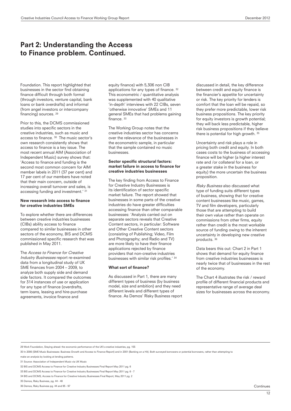# Part 2: Understanding the Access to Finance problem. Continued.

Foundation. This report highlighted that businesses in the sector find obtaining finance difficult through both formal (through investors, venture capital, bank loans or bank overdrafts) and informal (from angel investors or intercompany financing) sources. 29

Prior to this, the DCMS commissioned studies into specific sectors in the creative industries, such as music and access to finance. 30 The music sector's own research consistently shows that access to finance is a key issue. The most recent annual AIM (Association of Independent Music) survey shows that: 'Access to finance and funding is the second most common concern for AIM member labels in 2011 (37 per cent) and 17 per cent of our members have noted that their main concern, outside of increasing overall turnover and sales, is accessing funding and investment.' 31

#### New research into access to finance for creative industries SMEs

To explore whether there are differences between creative industries businesses (CIBs) ability access to finance compared to similar businesses in other sectors of the economy, BIS and DCMS commissioned specific research that was published in May 2011.

The Access to Finance for Creative Industry Businesses report re-examined data from a longitudinal study of UK SME finances from 2004 – 2009, to analyze both supply side and demand side factors. It compared the outcomes for 314 instances of use or application for any type of finance (overdrafts, term loans, leasing and hire-purchase agreements, invoice finance and

equity finance) with 5,306 non CIB applications for any types of finance. 32 This econometric / quantitative analysis was supplemented with 40 qualitative 'in-depth' interviews with 22 CIBs, seven 'otherwise innovative' SMEs and 11 general SMEs that had problems gaining finance. 33

The Working Group notes that the creative industries sector has concerns over the relevance of the businesses in the econometric sample, in particular that the sample contained no music businesses.

### Sector specific structural factors: market failure in access to finance for creative industries businesses

The key finding from Access to Finance for Creative Industry Businesses is its identification of sector specific market failure. The report showed that businesses in some parts of the creative industries do have greater difficulties accessing finance than other comparable businesses: 'Analysis carried out on separate sectors reveals that Creative Content sectors, in particular: Software and Other Creative Content sectors (consisting of Publishing; Video, Film and Photography; and Radio and TV) are more likely to have their finance applications rejected by finance providers that non-creative industries businesses with similar risk profiles.' 34

### What sort of finance?

As discussed in Part 1, there are many different types of business (by business model, size and ambition) and they need different levels and different types of finance. As Demos' Risky Business report discussed in detail, the key difference between credit and equity finance is the financier's appetite for uncertainty or risk. The key priority for lenders is comfort that the loan will be repaid, so they prefer more predictable, lower risk business propositions. The key priority for equity investors is growth potential; they will back less predictable, higher risk business propositions if they believe there is potential for high growth. 35

Uncertainty and risk plays a role in pricing both credit and equity. In both cases costs to the business of accessing finance will be higher (a higher interest rate and /or collateral for a loan, or a greater stake in the business for equity) the more uncertain the business proposition.

Risky Business also discussed what type of funding suits different types of business, showing that for creative content businesses like music, games, TV and film developers, particularly those that are attempting to build their own value rather than operate on commissions from other firms, equity rather than credit is the most workable source of funding owing to the inherent uncertainty in developing new creative products. 36

Data bears this out: Chart 2 in Part 1 shows that demand for equity finance from creative industries businesses is nearly twice that of businesses in the rest of the economy.

The Chart 4 illustrates the risk / reward profile of different financial products and representative range of average deal sizes for businesses across the economy.

29 Work Foundation, Staying ahead: the economic performance of the UK's creative industries, pg. 155

30 In 2006 (SME Music Businesses: Business Growth and Access to Finance Report) and in 2001 (Banking on a Hit). Both surveyed borrowers or potential borrowers, rather than attempting to make an analysis by looking at lending patterns.

31 Source: Association of Independent Music via UK Music

32 BIS and DCMS Access to Finance for Creative Industry Businesses Final Report May 2011 pg. 6

33 BIS and DCMS Access to Finance for Creative Industry Businesses Final Report May 2011 pg. 6 - 7

34 BIS and DCMS, Access to Finance for Creative Industry Businesses Final Report, May 2011 pg. 2

35 Demos, Risky Business, pg. 44 - 48

36 Demos, Risky Business pg. 44 and 95 - 97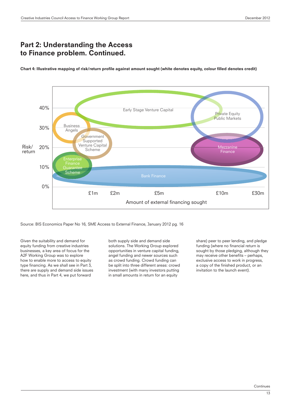# Part 2: Understanding the Access to Finance problem. Continued.

Chart 4: Illustrative mapping of risk/return profile against amount sought (white denotes equity, colour filled denotes credit)



Source: BIS Economics Paper No 16, SME Access to External Finance, January 2012 pg. 16

Given the suitability and demand for equity funding from creative industries businesses, a key area of focus for the A2F Working Group was to explore how to enable more to access to equity type financing. As we shall see in Part 3, there are supply and demand side issues here, and thus in Part 4, we put forward

both supply side and demand side solutions. The Working Group explored opportunities in venture capital funding, angel funding and newer sources such as crowd funding. Crowd funding can be split into three different areas: crowd investment (with many investors putting in small amounts in return for an equity

share) peer to peer lending, and pledge funding (where no financial return is sought by those pledging, although they may receive other benefits - perhaps, exclusive access to work in progress, a copy of the finished product, or an invitation to the launch event).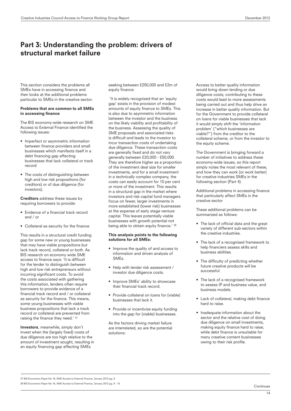# Part 3: Understanding the problem: drivers of structural market failure

This section considers the problems all SMEs have in accessing finance and then looks at the additional problems particular to SMEs in the creative sector.

### Problems that are common to all SMEs in accessing finance

The BIS economy-wide research on SME Access to External Finance identified the following issues:

- Imperfect or asymmetric information between finance providers and small businesses which manifests itself in a debt financing gap affecting businesses that lack collateral or track record
- The costs of distinguishing between high and low risk propositions (for creditors) or of due diligence (for investors).

Creditors address these issues by requiring borrowers to provide:

- Evidence of a financial track record and / or
- Collateral as security for the finance

This results in a structural credit funding gap for some new or young businesses that may have viable propositions but lack track record, collateral or both. As BIS research on economy wide SME access to finance says: 'It is difficult for the lender to distinguish between high and low risk entrepreneurs without incurring significant costs. To avoid the costs associated with gathering this information, lenders often require borrowers to provide evidence of a financial track record and / or collateral as security for the finance. This means, some young businesses with viable business propositions that lack a track record or collateral are prevented from raising the finance they need.' 37

Investors, meanwhile, simply don't invest when the (largely fixed) costs of due diligence are too high relative to the amount of investment sought, resulting in an equity financing gap affecting SMEs

seeking between £250,000 and £2m of equity finance:

 'It is widely recognized that an 'equity gap' exists in the provision of modest amounts of equity finance to SMEs. This is also due to asymmetric information between the investor and the business on the likely viability and profitability of the business. Assessing the quality of SME proposals and associated risks is difficult and leads to the investor to incur transaction costs of undertaking due diligence. These transaction costs are generally fixed and do not vary generally between £20,000 - £50,000. They are therefore higher as a proportion of the investment deal size for smaller investments, and for a small investment in a technically complex company, the costs can easily account for 10 per cent or more of the investment. This results in a structural gap in the market where investors and risk capital fund managers focus on fewer, larger investments in more established (lower risk) businesses at the expense of early stage venture capital. This leaves potentially viable businesses with growth potential not being able to obtain equity finance.' 38

### This analysis points to the following solutions for all SMEs:

- Improve the quality of and access to information and driven analysis of SMEs.
- Help with lender risk assessment / investor due diligence costs.
- Improve SMEs' ability to showcase their financial track record.
- Provide collateral on loans for (viable) businesses that lack it.
- Provide or incentivize equity funding into the gap for (viable) businesses.

As the factors driving market failure are interrelated, so are the potential solutions:

Access to better quality information would bring down lending or due diligence costs; contributing to these costs would lead to more assessments being carried out and thus help drive an increase in better quality information. But for the Government to provide collateral on loans for viable businesses that lack it would simply shift the 'information problem' ("which businesses are viable?") from the creditor to the collateral scheme, or from the investor to the equity scheme.

The Government is bringing forward a number of initiatives to address these economy-wide issues, so this report simply notes the most relevant of these, and how they can work (or work better) for creative industries SMEs in the following section (Part 4).

Additional problems in accessing finance that particularly affect SMEs in the creative sector

These additional problems can be summarized as follows:

- The lack of official data and the great variety of different sub-sectors within the creative industries.
- The lack of a recognised framework to help financiers assess skills and business abilities.
- The difficulty of predicting whether future creative products will be successful.
- The lack of a recognised framework to assess IP and business value, and business models.
- Lack of collateral, making debt finance hard to raise.
- Inadequate information about the sector and the relative cost of doing due diligence on small investments, making equity finance hard to raise, while debt finance is unsuitable for many creative content businesses owing to their risk profile.

37 BIS Economics Paper No 16, SME Access to External Finance, January 2012 pg. 9 38 BIS Economics Paper No 16, SME Access to External Finance, January 2012 pg. 9 - 10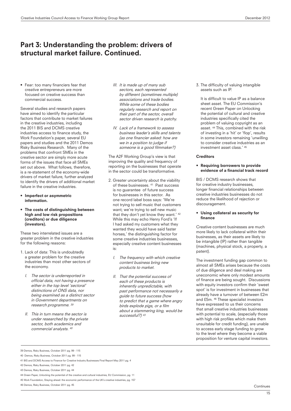# Part 3: Understanding the problem: drivers of structural market failure. Continued.

• Fear: too many financiers fear that creative entrepreneurs are more focused on creative success than commercial success.

Several studies and research papers have aimed to identify the particular factors that contribute to market failures in the creative industries, including the 2011 BIS and DCMS creative industries access to finance study, the Work Foundation's paper, several EU papers and studies and the 2011 Demos Risky Business Research. Many of the problems that confront SMEs in the creative sector are simply more acute forms of the issues that face all SMEs set out above. What follows, therefore, is a re-statement of the economy-wide drivers of market failure, further analyzed to identify the drivers of additional market failure in the creative industries.

- Imperfect or asymmetric information.
- The costs of distinguishing between high and low risk propositions (creditors) or due diligence (investors).

These two interrelated issues are a greater problem in the creative industries for the following reasons:

- 1. Lack of data: This is undoubtedly a greater problem for the creative industries than most other sectors of the economy.
	- I. The sector is underreported in official data, not having a presence either in the top level 'sectoral' distinctions of ONS data, nor being examined as a distinct sector in Government departments on research programme. <sup>39</sup>
	- II. This in turn means the sector is under researched by the private sector, both academics and commercial analysts. <sup>40</sup>
- III. It is made up of many sub sectors, each represented by different (sometimes multiple) associations and trade bodies. While some of these bodies regularly research and report on their part of the sector, overall sector driven research is patchy.
- IV. Lack of a framework to assess business leader's skills and talents (as one financier asked: how are we in a position to judge if someone is a good filmmaker?)

The A2F Working Group's view is that improving the quality and frequency of reporting on the businesses that operate in the sector could be transformative.

- 2. Greater uncertainty about the viability of these businesses. 41 Past success is no guarantee of future success for businesses in this sector. As one record label boss says: 'We're not trying to sell music that customers want; we're trying to sell new music that they don't yet know they want.' 42 While this may echo Henry Ford's 'If I had asked my customers what they wanted they would have said faster horses,' the distinguishing factor for some creative industries businesses, especially creative content businesses  $i$ e·
	- I. The frequency with which creative content business bring new products to market.
	- II. That the potential success of each of these products is inherently unpredictable, with past performance not necessarily a guide to future success (how to predict that a game where angry birds explode pigs, or a film about a stammering king, would be successful?) <sup>43</sup>

3. The difficulty of valuing intangible assets such as IP.

It is difficult to value IP as a balance sheet asset. The EU Commission's recent Green Paper on Unlocking the potential of cultural and creative industries specifically cited the problem of valuing copyright as an asset. 44 This, combined with the risk of investing in a 'hit' or 'flop', results in some investors remaining 'unwilling to consider creative industries as an investment asset class.' 45

### **Creditors**

#### • Requiring borrowers to provide evidence of a financial track record

BIS / DCMS research shows that for creative industry businesses, longer financial relationships between creative industries businesses do not reduce the likelihood of rejection or discouragement.

### • Using collateral as security for finance

Creative content businesses are much more likely to lack collateral within their businesses, as their assets are likely to be intangible (IP) rather than tangible (machines, physical stock, a property, a patent).

The investment funding gap common to almost all SMEs arises because the costs of due diligence and deal making are uneconomic where only modest amounts of finance are being sought. Discussions with equity investors confirm their 'sweet spot' is for investment in businesses that already have a turnover of between £2m and £5m. 46 These specialist investors have expressed to us their concerns that small creative industries businesses with potential to scale, (especially those with high risk profiles which make them unsuitable for credit funding), are unable to access early stage funding to grow to the level where they become a viable proposition for venture capital investors.

- 41 BIS and DCMS Access to Finance for Creative Industry Businesses Final Report May 2011 pg. 4
- 42 Demos, Risky Business, October 2011 pg. 42

- 44 Green Paper, Unlocking the potential of the creative and cultural industries, EU Commission, pg. 11 45 Work Foundation, Staying ahead: the economic performance of the UK's creative industries, pg. 157
- 46 Demos, Risky Business, October 2011 pg. 45

<sup>39</sup> Demos, Risky Business, October 2011 pg. 99 - 115

<sup>40</sup> Demos, Risky Business, October 2011 pg. 99 - 115

<sup>43</sup> Demos, Risky Business, October 2011 pg. 44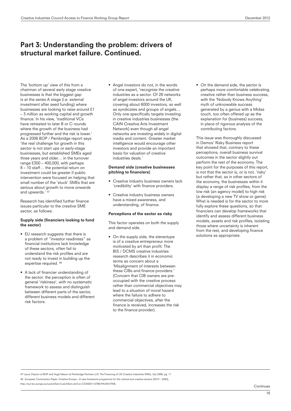# Part 3: Understanding the problem: drivers of structural market failure. Continued.

The 'bottom up' view of this from a chairman of several early stage creative businesses is that the biggest gap is at the series A stage (i.e. external investment after seed funding) where businesses are looking to raise around £1 – 3 million as working capital and growth finance. In his view, 'traditional VCs have retreated to later B or C rounds where the growth of the business had progressed further and the risk is lower.' As a 2006 BOP / Pembridge report says 'the real challenge for growth in this sector is not start ups or early-stage businesses, but established SMEs aged three years and older… in the turnover range £300 – 400,000, with perhaps 8 – 10 staff… the potential return on investment could be greater if public intervention were focused on helping that small number of the 'stuck' SMEs that are serious about growth to move onwards and upwards.' 47

Research has identified further finance issues particular to the creative SME sector, as follows:

### Supply side (financiers looking to fund the sector)

- EU research suggests that there is a problem of "investor readiness" as financial institutions lack knowledge of these sectors, often fail to understand the risk profiles and are not ready to invest in building up the expertise required. 48
- A lack of financier understanding of the sector: the perception is often of general 'riskiness', with no systematic framework to assess and distinguish between different parts of the sector, different business models and different risk factors.

• Angel investors do not, in the words of one expert, 'recognize the creative industries as a sector. Of 26 networks of angel investors around the UK, covering about 6000 investors, as well as syndicates and groups of angels… Only one specifically targets investing in creative industries businesses (the CAIN Creative Arts Investment Network) even though all angel networks are investing widely in digital media and content. Greater market intelligence would encourage other investors and provide an important basis for valuation of creative industries deals.'

### Demand side (creative businesses pitching to financiers)

- Creative industry business owners lack 'credibility' with finance providers.
- Creative industry business owners have a mixed awareness, and understanding, of finance.

### Perceptions of the sector as risky

This factor operates on both the supply and demand side.

• On the supply side, the stereotype is of a creative entrepreneur more motivated by art than profit: The BIS / DCMS creative industries research describes it in economic terms as concern about a 'Misalignment of interests between these CIBs and finance providers.' (Concern that CIB owners are preoccupied with the creative process rather than commercial objectives may lead to a situation of moral hazard where the failure to adhere to commercial objectives, after the finance is received, increases the risk to the finance provider).

• On the demand side, the sector is perhaps more comfortable celebrating creative rather than business success, with the 'Nobody Knows Anything' myth of unknowable success generated by a genius with a Midas touch, too often offered up as the explanation for (business) success, in place of rigorous analysis of the contributing factors.

This issue was thoroughly discussed in Demos' Risky Business report that showed that, contrary to these perceptions, overall business survival outcomes in the sector slightly out perform the rest of the economy. The key point for the purposes of this report, is not that the sector is, or is not, 'risky' but rather that, as in other sectors of the economy, the businesses within it display a range of risk profiles, from the low risk (an agency model) to high risk (a developing a new TV show or game). What is needed is for the sector to more fully explore these questions, so that financiers can develop frameworks that identify and assess different business models, assets and risk profiles, isolating those where uncertainty is inherent from the rest, and developing finance solutions as appropriate.

47 Laura Clayton at BOP and Hugh Mason at Pembridge Partners LLP, The Financing of UK Creative Industries SMEs, July 2006, pg. 11 48 European Commission Paper, Creative Europe – A new framework programme for the cultural and creative sectors (2014 – 2020),

http://eur-lex.europa.eu/LexUriServ/LexUriServ.do?uri=COM2011:0786:FIN:EN:HTML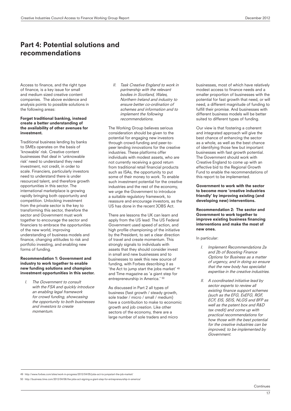# Part 4: Potential solutions and recommendations

Access to finance, and the right type of finance, is a key issue for small and medium sized creative content companies. The above evidence and analysis points to possible solutions in the following areas:

### Forget traditional banking, instead create a better understanding of the availability of other avenues for investment.

Traditional business lending by banks to SMEs operates on the basis of 'knowable' risk. Creative content businesses that deal in 'unknowable risk' need to understand they need investment, not credit, in order to scale. Financiers, particularly investors need to understand there is under resourced talent, and therefore growth opportunities in this sector. The international marketplace is growing rapidly bringing both opportunity and competition. Unlocking investment from the private sector is the key to transforming this sector, therefore the sector and Government must work together to encourage the sector and financiers to embrace the opportunities of the new world, improving understanding of business models and finance, changing attitudes to risk and portfolio investing, and enabling new forms of funding.

### Recommendation 1: Government and industry to work together to enable new funding solutions and champion investment opportunities in this sector.

I. The Government to consult with the FSA and quickly introduce an enabling legal framework for crowd funding, showcasing the opportunity to both businesses and investors to create momentum.

II. Task Creative England to work in partnership with the relevant bodies in Scotland, Wales, Northern Ireland and industry to ensure better co-ordination of schemes and information and to implement the following recommendations.

The Working Group believes serious consideration should be given to the potential for engaging new investors through crowd-funding and peer-topeer lending innovations for the creative industries. These platforms offer individuals with modest assets, who are not currently receiving a good return from traditional retail financial products such as ISAs, the opportunity to put some of their money to work. To enable such investment potential for the creative industries and the rest of the economy, we urge the Government to introduce a suitable regulatory framework, to reassure and encourage investors, as the US has done in the recent JOBS Act.

There are lessons the UK can learn and apply from the US lead: The US Federal Government used speed of action, and high profile championing of the initiative by the President, to set a clear direction of travel and create momentum. This strongly signals to individuals with assets that they should consider invest in small and new businesses and to businesses to seek this new source of funding, with Forbes describing it as 'the Act to jump start the jobs market' 49 and Time magazine as 'a giant step for entrepreneurship in America.' 50

As discussed in Part 2 all types of business (fast growth / steady growth, sole trader / micro / small / medium) have a contribution to make to economic growth and job creation. Like other sectors of the economy, there are a large number of sole traders and micro

businesses, most of which have relatively modest access to finance needs and a smaller proportion of businesses with the potential for fast growth that need, or will need, a different magnitude of funding to fulfill their promise. And businesses with different business models will be better suited to different types of funding.

Our view is that fostering a coherent and integrated approach will give the best chance of enhancing the sector as a whole, as well as the best chance of identifying those few but important businesses with fast growth potential. The Government should work with Creative England to come up with an effective bid to the Regional Growth Fund to enable the recommendations of this report to be implemented.

Government to work with the sector to become more 'creative industries friendly' by improving existing (and developing new) interventions.

Recommendation 2: The sector and Government to work together to improve existing business financing interventions and make the most of new ones.

In particular:

- I. Implement Recommendations 2a and 2b of Boosting Finance Options for Business as a matter of urgency, and in doing so ensure that the new body has specialist expertise in the creative industries.
- II. A coordinated initiative lead by sector experts to review all existing finance support schemes (such as the EFG, ExEFG, RGF, ECF, EIS, SEIS, NLGS and BFP as well as the patent box and R&D tax credit) and come up with practical recommendations for how those with the best potential for the creative industries can be improved; to be implemented by Government.

49 http://www.forbes.com/sites/work-in-progress/2012/04/05/jobs-act-to-jumpstart-the-job-market/

50 http://business.time.com/2012/04/06/the-jobs-act-signing-a-giant-step-for-entrepreneurship-in-america/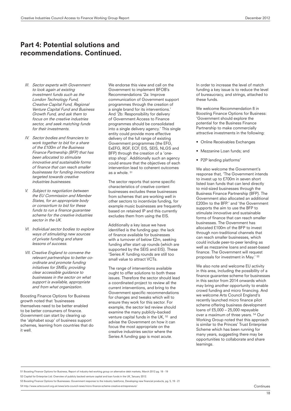- III. Sector experts with Government to look again at existing investment funds such as the London Technology Fund, Creative Capital Fund, Regional Venture Capital Fund and Business Growth Fund, and ask them to focus on the creative industries sector, and seek matching funds for their investments.
- IV. Sector bodies and financiers to work together to bid for a share of the £100m of the Business Finance Partnership (BFP) that has been allocated to stimulate innovative and sustainable forms of finance that can reach smaller businesses for funding innovations targeted towards creative industries businesses.
- V. Subject to negotiation between the EU Commission and Member States, for an appropriate body or consortium to bid for these funds to run a finance guarantee scheme for the creative industries sector in the UK
- VI. Individual sector bodies to explore ways of stimulating new sources of private funding and share lessons of success.
- VII. Creative England to convene the relevant partnerships to better coordinate and promote funding initiatives for SMEs; providing clear accessible guidance to businesses in the sector on what support is available, appropriate and from what organization.

Boosting Finance Options for Business growth noted that 'businesses themselves need to be better enabled to be better consumers of finance. Government can start by clearing up the 'alphabet soup' of business support schemes, learning from countries that do it well.

We endorse this view and call on the Government to implement BFOB's Recommendations '2a: Improve communication of Government support programmes through the creation of a single brand for its interventions.' And '2b: Responsibility for delivery of Government Access to Finance programmes should be consolidated into a single delivery agency.' This single entity could provide more effective delivery of the full range of existing Government programmes (the EFG, ExEFG, RGF, ECF, EIS, SEIS, NLGS and BFP) through the creation of a 'onestop shop'. Additionally such an agency could ensure that the objectives of each intervention lead to coherent outcomes as a whole. 51

The sector reports that some specific characteristics of creative content businesses excludes these businesses from schemes that are working well in other sectors to incentivize funding, for example music businesses are frequently based on retained IP and this currently excludes them from using the EIS.

Additionally a key issue we have identified is the funding gap: the lack of finance available for businesses with a turnover of below £2m, seeking funding after start up rounds (which are supported by the SEIS and EIS). These 'Series A' funding rounds are still too small value to attract VCTs.

The range of interventions available ought to offer solutions to both these issues. Therefore the sector should lead a coordinated project to review all the current interventions, and bring to the Government specific recommendations for changes and tweaks which will to ensure they work for this sector. For example, the sector led review should examine the many publicly–backed venture capital funds in the UK, 52 and advise the Government on how it can focus the most appropriate on the creative industries sector where the Series A funding gap is most acute.

In order to increase the level of match funding a key issue is to reduce the level of bureaucracy, and strings, attached to these funds.

We welcome Recommendation 8 in Boosting Finance Options for Business: 'Government should explore the potential for the Business Finance Partnership to make commercially attractive investments in the following:

- Online Receivables Exchanges
- Mezzanine Loan funds; and
- P2P lending platforms'

We also welcome the Government's response that, 'The Government intends to invest up to £700m in seven short listed loan funds that can lend directly to mid-sized businesses through the Business Finance Partnership (BFP). The Government also allocated an additional £200m to the BFP.' and 'the Government supports the aim to use the BFP to stimulate innovative and sustainable forms of finance that can reach smaller businesses. The Government has allocated £100m of the BFP to invest through non-traditional channels that can reach smaller businesses, which could include peer-to-peer lending as well as mezzanine loans and asset-based finance. The Government will request proposals for investment in May.' 53

We also note and welcome EU activity in this area, including the possibility of a finance guarantee scheme for businesses in this sector from 2014 onwards which may bring another opportunity to enable crowd funding and micro financing. And we welcome Arts Council England's recently launched micro finance pilot scheme offering business development loans of £5,000 – 25,000 repayable over a maximum of three years. 54 Our Working Group noted that this approach is similar to the Princes' Trust Enterprise Scheme which has been running for many years, suggesting there may be opportunities to collaborate and share learnings.

51 Boosting Finance Options for Business, Report of industry-led working group on alternative debt markets, March 2012 pg. 18 - 19

54 http://www.artscouncil.org.uk/news/arts-council-news/micro-finance-scheme-creative-entrepreneurs/

<sup>52</sup> Capital for Enterprise Ltd: Overview of publicly backed venture capital and loan funds in the UK, January 2012.

<sup>53</sup> Boosting Finance Options for Businesses: Government response to the industry taskforce, Developing new financial products, pg. 5, 19 - 21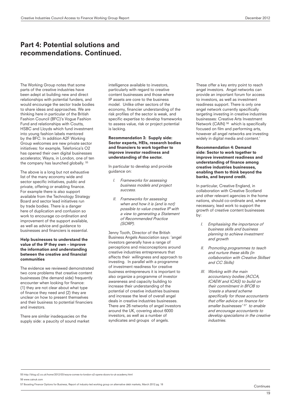The Working Group notes that some parts of the creative industries have been adept at building new and direct relationships with potential funders, and would encourage the sector trade bodies to share ideas and approaches. We are thinking here in particular of the British Fashion Council (BFC)'s Vogue Fashion Fund and relationships with Coutts, HSBC and Lloyds which fund investment into young fashion labels mentored by the BFC. In addition A2F Working Group welcomes are new private sector initiatives: for example, Telefonica's O2 has opened their own digital businesses accelerator, Wayra, in London, one of ten the company has launched globally. 55

The above is a long but not exhaustive list of the many economy wide and sector specific initiatives, public and private, offering or enabling finance. For example there is also support available from the Technology Strategy Board and sector lead initiatives run by trade bodies. There is a danger here of duplication and confusion so work to encourage co-ordination and improvement of the support available, as well as advice and guidance to businesses and financiers is essential.

### Help businesses to understand the value of the IP they own – improve the information and understanding between the creative and financial communities

The evidence we reviewed demonstrated two core problems that creative content businesses (the demand side) frequently encounter when looking for finance: (1) they are not clear about what type of finance they need and (2) they are unclear on how to present themselves and their business to potential financiers and investors.

There are similar inadequacies on the supply side: a paucity of sound market intelligence available to investors, particularly with regard to creative content businesses and those where IP assets are core to the business model. Unlike other sectors of the economy, financier understanding of the risk profiles of the sector is weak, and specific expertise to develop frameworks to assess value, risk or project potential is lacking.

### Recommendation 3: Supply side: Sector experts, HEIs, research bodies and financiers to work together to improve investor readiness and understanding of the sector.

In particular to develop and provide guidance on:

- I. Frameworks for assessing business models and project success.
- II. Frameworks for assessing when and how it is (and is not) possible to value creative IP with a view to generating a Statement of Recommended Practice (SORP).

Jenny Tooth, Director of the British Business Angels Association says: 'angel investors generally have a range of perceptions and misconceptions around creative industries entrepreneurs that affects their willingness and approach to investing. In parallel with a programme of investment readiness for creative business entrepreneurs it is important to also organize a programme of investor awareness and capacity building to increase their understanding of the potential of creative industries business and increase the level of overall angel deals in creative industries businesses. There are 26 networks of angel investors around the UK, covering about 6000 investors, as well as a number of syndicates and groups of angels.

These offer a key entry point to reach angel investors. Angel networks can provide an important forum for access to investors, as well as investment readiness support. There is only one angel network currently specifically targeting investing in creative industries businesses: Creative Arts Investment Network (CAIN) <sup>56</sup> which is specifically focused on film and performing arts, however all angel networks are investing widely in digital media and content.'

### Recommendation 4: Demand side: Sector to work together to improve investment readiness and understanding of finance among creative industries businesses, enabling them to think beyond the banks, and beyond credit.

In particular, Creative England, in collaboration with Creative Scotland and other relevant agencies in the home nations, should co-ordinate and, where necessary, lead work to support the growth of creative content businesses by:

- I. Emphasising the importance of business skills and business planning to achieve investment and growth
- II. Promoting programmes to teach and nurture these skills (in collaboration with Creative Skillset and CC Skills)
- III. Working with the main accountancy bodies (ACCA, ICAEW and ICAS) to build on their commitment in BFOB to 'create a shared scheme specifically for those accountants that offer advice on finance for smaller businesses' <sup>57</sup> to enable and encourage accountants to develop specialisms in the creative industries.

55 http://blog.o2.co.uk/home/2012/03/wayra-comes-to-london-o2-opens-doors-to-uk-academy.html 56 www.cainuk.com

57 Boosting Finance Options for Business, Report of industry-led working group on alternative debt markets, March 2012 pg. 18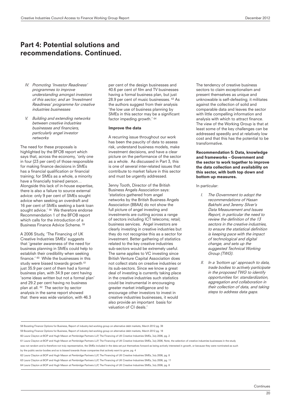- IV. Promoting 'Investor Readiness' programmes to improve understanding amongst investors of this sector; and an 'Investment Readiness' programme for creative industries businesses
- V. Building and extending networks between creative industries businesses and financiers, particularly angel investor networks

The need for these proposals is highlighted by the BFOB report which says that, across the economy, 'only one in four (23 per cent) of those responsible for making finance decisions in SMEs has a financial qualification or financial training; for SMEs as a whole, a minority have a financially trained person… Alongside this lack of in-house expertise, there is also a failure to source external advice: only 9 per cent of SMEs sought advice when seeking an overdraft and 16 per cent of SMEs seeking a bank loan sought advice.' 58 We therefore endorse Recommendation 1 of the BFOB report which calls for the introduction of a Business Finance Advice Scheme. 59

A 2006 Study, 'The Financing of UK Creative Industries SMEs' suggests that 'greater awareness of the need for business planning in SMEs could help to establish their credibility when seeking finance.' 60 While the businesses in this study were biased towards growth <sup>61</sup> just 35.9 per cent of them had a formal business plan, with 34.9 per cent having 'some ideas written but not a formal plan' and 29.2 per cent having no business plan at all. 62 The sector by sector analysis in the same report showed that there was wide variation, with 46.3

per cent of the design businesses and 40.6 per cent of film and TV businesses having a formal business plan, but just 28.9 per cent of music businesses. 63 As the authors suggest from their analysis 'the low use of business planning by SMEs in this sector may be a significant factor impeding growth.' 64

#### Improve the data

A recurring issue throughout our work has been the paucity of data to assess risk, understand business models, make investment decisions, and have a clear picture on the performance of the sector as a whole. As discussed in Part 3, this is one of several inter-related issues that contribute to market failure in this sector and must be urgently addressed.

Jenny Tooth, Director of the British Business Angels Association says: 'statistics gathered from angel networks by the British Business Angels Association (BBAA) do not show the full picture of angel investing and investments are cutting across a range of sectors including ICT telecoms; retail; business services. Angel investors are clearly investing in creative industries but they do not recognise this as a sector for investment. Better gathering of statistics related to the key creative industries sub-sectors would be extremely useful. The same applies to VC investing since British Venture Capital Association does not collect stats on creative industries or its sub-sectors. Since we know a great deal of investing is currently taking place in the creative industries such statistics could be instrumental in encouraging greater market intelligence and to encourage other investors to invest in creative industries businesses, it would also provide an important basis for valuation of CI deals.'

The tendency of creative business sectors to claim exceptionalism and present themselves as unique and unknowable is self-defeating; it militates against the collection of solid and comparable data and leaves the sector with little compelling information and analysis with which to attract finance. The view of the Working Group is that at least some of the key challenges can be addressed speedily and at relatively low cost and that this has the potential to be transformative.

Recommendation 5: Data, knowledge and frameworks – Government and the sector to work together to improve the data collection and availability on this sector, with both top down and bottom up measures.

In particular:

- I. The Government to adopt the recommendations of Hasan Bakhshi and Jeremy Silver's Data Measurement and Issues Report, in particular the need to review the definition of the 13 sectors in the creative industries, to ensure the statistical definition is keeping pace with the impact of technological and digital change, and sets up the suggested Technical Working Group (TWG).
- II. In a 'bottom up' approach to data, trade bodies to actively participate in the proposed TWG to identify opportunities for: standardization, aggregation and collaboration in their collection of data, and taking steps to address data gaps.

<sup>58</sup> Boosting Finance Options for Business, Report of industry-led working group on alternative debt markets, March 2012 pg. 38

<sup>59</sup> Boosting Finance Options for Business, Report of industry-led working group on alternative debt markets, March 2012 pg. 18 60 Laura Clayton at BOP and Hugh Mason at Pembridge Partners LLP, The Financing of UK Creative Industries SMEs, July 2006, pg. 2

<sup>61</sup> Laura Clayton at BOP and Hugh Mason at Pembridge Partners LLP, The Financing of UK Creative Industries SMEs, July 2006, Note, the selection of creative industries businesses in the study

was not random and is therefore not truly representative, the SMEs included in the data set put themselves forward as being actively interested in growth, or because they were nominated as such

by the public sector bodies and so is biased towards those companies that actively want to grow, pg. 4

<sup>62</sup> Laura Clayton at BOP and Hugh Mason at Pembridge Partners LLP, The Financing of UK Creative Industries SMEs, July 2006, pg. 8

<sup>63</sup> Laura Clayton at BOP and Hugh Mason at Pembridge Partners LLP, The Financing of UK Creative Industries SMEs, July 2006, pg. 11

<sup>64</sup> Laura Clayton at BOP and Hugh Mason at Pembridge Partners LLP, The Financing of UK Creative Industries SMEs, July 2006, pg. 8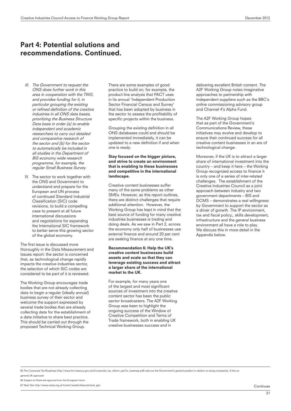- III. The Government to request the ONS does further work in this area in cooperation with the TWG, and provides funding for it, in particular grouping the existing or refined definition of the creative industries in all ONS data bases, prioritizing the Business Structure Data base in order (a) to enable independent and academic researchers to carry out detailed and comparative research of the sector and (b) for the sector to automatically be included in all studies in the Department of BIS economy wide research programme, for example, the regular Small Business Survey.
- IV. The sector to work together with the ONS and Government to understand and prepare for the European and UN process of continued Standard Industrial Classification (SIC) code revisions, to build a compelling case to present at all future international discussions and negotiations for expanding the International SIC framework to better serve this growing sector of the global economy.

The first issue is discussed more thoroughly in the Data Measurement and Issues report: the sector is concerned that, as technological change rapidly impacts the creative industries sector, the selection of which SIC codes are considered to be part of it is reviewed.

The Working Group encourages trade bodies that are not already collecting data to begin a regular (ideally annual) business survey of their sector and welcome the support expressed by several trade bodies that are already collecting data for the establishment of a data initiative to share best practice. This should be carried out through the proposed Technical Working Group.

There are some examples of good practice to build on; for example, the product line analysis that PACT uses in its annual 'Independent Production Sector Financial Census and Survey' that has been adopted by business in the sector to assess the profitability of specific projects within the business.

Grouping the existing definition in all ONS databases could and should be implemented immediately, it can be updated to a new definition if and when one is ready.

### Stay focused on the bigger picture, and strive to create an environment that is enabling to these businesses and competitive in the international landscape.

Creative content businesses suffer many of the same problems as other SMEs. However, as this report outlines, there are distinct challenges that require additional attention. However, the Working Group has kept in mind that the best source of funding for many creative industries businesses is trading and doing deals. As we saw in Part 2, across the economy only half of businesses use external finance and around 20 per cent are seeking finance at any one time.

### Recommendation 6: Help the UK's creative content businesses build assets and scale so that they can leverage existing success and attract a larger share of the international market to the UK.

For example, for many years one of the largest and most significant sources of investment into the creative content sector has been the public sector broadcasters. The A2F Working Group was keen to highlight the ongoing success of the Window of Creative Competition and Terms of Trade framework, both in enabling UK creative businesses success and in

delivering excellent British content. The A2F Working Group notes imaginative approaches to partnership with independent suppliers such as the BBC's online commissioning advisory group and Channel 4's Alpha Fund.

The A2F Working Group hopes that as part of the Government's Communications Review, these initiatives may evolve and develop to ensure their continued success for all creative content businesses in an era of technological change.

Moreover, if the UK is to attract a larger share of international investment into the country – and keep it here – the Working Group recognized access to finance it is only one of a series of inter-related challenges. The establishment of the Creative Industries Council as a joint approach between industry and two government departments – BIS and DCMS – demonstrates a real willingness by Government to support the sector as a driver of growth. The IP environment, tax and fiscal policy;, skills development, infrastructure and the general business environment all have a role to play. We discuss this in more detail in the Appendix below.

65 The Corporate Tax Roadmap (http://www.hm-treasury.gov.uk/d/corporate\_tax\_reform\_part1a\_roadmap.pdf) sets out the Government's general position in relation to taxing companies. A line on

general UK approach 66 Subject to State aid approval from the European Union

67 Next Gen http://www.nesta.org.uk/home1/assets/features/next\_gen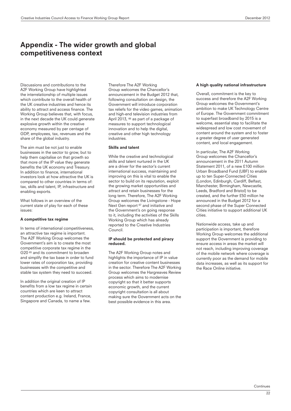# Appendix - The wider growth and global competitiveness context

Discussions and contributions to the A2F Working Group have highlighted the interrelationship of multiple issues which contribute to the overall health of the UK creative industries and hence its ability to attract and access finance. The Working Group believes that, with focus, in the next decade the UK could generate explosive growth within the creative economy measured by per centage of GDP, employees, tax, revenues and the share of the global industry.

The aim must be not just to enable businesses in the sector to grow, but to help them capitalise on that growth so that more of the IP value they generate benefits the UK economy and Treasury. In addition to finance, international investors look at how attractive the UK is compared to other countries in terms of: tax, skills and talent, IP, infrastructure and enabling exports.

What follows in an overview of the current state of play for each of these issues:

### A competitive tax regime

In terms of international competitiveness, an attractive tax regime is important. The A2F Working Group welcomes the Government's aim is to create the most competitive corporate tax regime in the G20 65 and its commitment to broaden and simplify the tax base in order to fund lower rates of corporation tax, providing businesses with the competitive and stable tax system they need to succeed.

In addition the original creation of IP benefits from a low tax regime in certain countries which are keen to attract content production e.g. Ireland, France, Singapore and Canada, to name a few.

Therefore The A2F Working Group welcomes the Chancellor's announcement in the Budget 2012 that, following consultation on design, the Government will introduce corporation tax reliefs for the video games, animation and high-end television industries from April 2013, 66 as part of a package of measures to support technological innovation and to help the digital, creative and other high technology **industries** 

### Skills and talent

While the creative and technological skills and talent nurtured in the UK are a driver for the sector's current international success, maintaining and improving on this is vital to enable the sector to build on its reputation, exploit the growing market opportunities and attract and retain businesses for the long term. Therefore, The A2F Working Group welcomes the Livingstone - Hope Next Gen report <sup>67</sup> and initiative and the Government's on going response to it, including the activities of the Skills Working Group which has already reported to the Creative Industries Council.

### IP should be protected and piracy reduced.

The A2F Working Group notes and highlights the importance of IP in value creation for creative content businesses in the sector. Therefore The A2F Working Group welcomes the Hargreaves Review process which aims to modernise copyright so that it better supports economic growth, and the current copyright consultation is all about making sure the Government acts on the best possible evidence in this area.

### A high quality national infrastructure

Overall, commitment is the key to success and therefore the A2F Working Group welcomes the Government's ambition to make UK Technology Centre of Europe. The Government commitment to superfast broadband by 2015 is a welcome, essential step to facilitate the widespread and low cost movement of content around the system and to foster a greater degree of user generated content, and local engagement.

In particular, The A2F Working Group welcomes the Chancellor's announcement in the 2011 Autumn Statement 2011, of a new £100 million Urban Broadband Fund (UBF) to enable up to ten Super-Connected Cities (London, Edinburgh, Cardiff, Belfast, Manchester, Birmingham, Newcastle, Leeds, Bradford and Bristol) to be created, and the further £50 million he announced in the Budget 2012 for a second phase of the Super Connected Cities initiative to support additional UK cities.

Nationwide access, take up and participation is important, therefore Working Group welcomes the additional support the Government is providing to ensure access in areas the market will not reach, including improving coverage of the mobile network where coverage is currently poor as the demand for mobile data increases, as well as its support for the Race Online initiative.